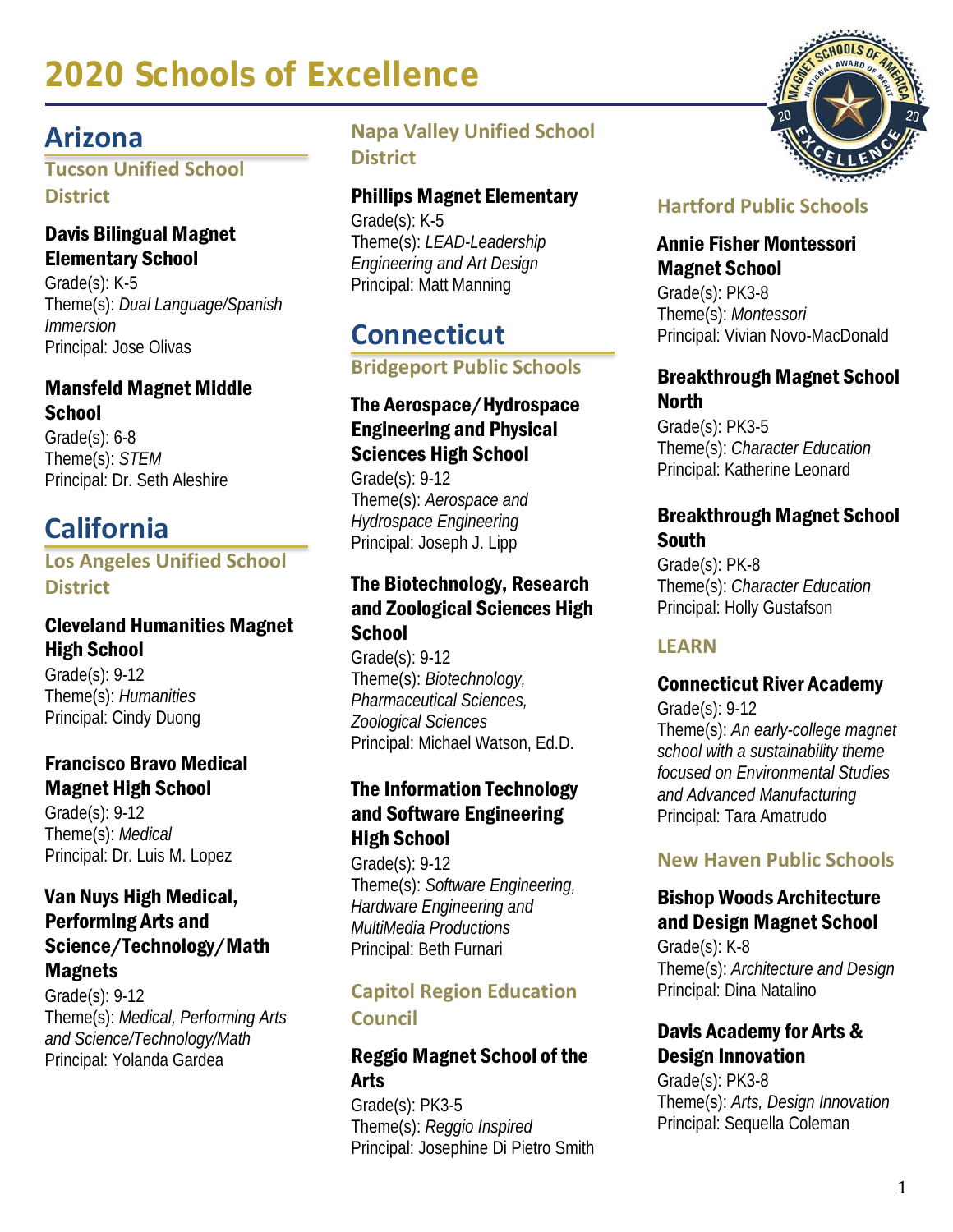# **Arizona**

**Tucson Unified School District**

# Davis Bilingual Magnet Elementary School

Grade(s): K-5 Theme(s): *Dual Language/Spanish Immersion* Principal: Jose Olivas

#### Mansfeld Magnet Middle **School**

Grade(s): 6-8 Theme(s): *STEM* Principal: Dr. Seth Aleshire

# **California**

# **Los Angeles Unified School District**

# Cleveland Humanities Magnet High School

Grade(s): 9-12 Theme(s): *Humanities* Principal: Cindy Duong

# Francisco Bravo Medical Magnet High School

Grade(s): 9-12 Theme(s): *Medical* Principal: Dr. Luis M. Lopez

#### Van Nuys High Medical, Performing Arts and Science/Technology/Math Magnets

Grade(s): 9-12 Theme(s): *Medical, Performing Arts and Science/Technology/Math* Principal: Yolanda Gardea

# **Napa Valley Unified School District**

### Phillips Magnet Elementary

Grade(s): K-5 Theme(s): *LEAD-Leadership Engineering and Art Design* Principal: Matt Manning

# **Connecticut**

**Bridgeport Public Schools**

#### The Aerospace/Hydrospace Engineering and Physical Sciences High School

Grade(s): 9-12 Theme(s): *Aerospace and Hydrospace Engineering* Principal: Joseph J. Lipp

### The Biotechnology, Research and Zoological Sciences High **School**

Grade(s): 9-12 Theme(s): *Biotechnology, Pharmaceutical Sciences, Zoological Sciences* Principal: Michael Watson, Ed.D.

# The Information Technology and Software Engineering High School

Grade(s): 9-12 Theme(s): *Software Engineering, Hardware Engineering and MultiMedia Productions* Principal: Beth Furnari

# **Capitol Region Education Council**

#### Reggio Magnet School of the Arts

Grade(s): PK3-5 Theme(s): *Reggio Inspired* Principal: Josephine Di Pietro Smith

# **Hartford Public Schools**

#### Annie Fisher Montessori Magnet School

Grade(s): PK3-8 Theme(s): *Montessori* Principal: Vivian Novo-MacDonald

#### Breakthrough Magnet School **North**

Grade(s): PK3-5 Theme(s): *Character Education* Principal: Katherine Leonard

#### Breakthrough Magnet School South

Grade(s): PK-8 Theme(s): *Character Education* Principal: Holly Gustafson

# **LEARN**

# Connecticut River Academy

Grade(s): 9-12 Theme(s): *An early-college magnet school with a sustainability theme focused on Environmental Studies and Advanced Manufacturing* Principal: Tara Amatrudo

# **New Haven Public Schools**

# Bishop Woods Architecture and Design Magnet School

Grade(s): K-8 Theme(s): *Architecture and Design* Principal: Dina Natalino

# Davis Academy for Arts & Design Innovation

Grade(s): PK3-8 Theme(s): *Arts, Design Innovation* Principal: Sequella Coleman

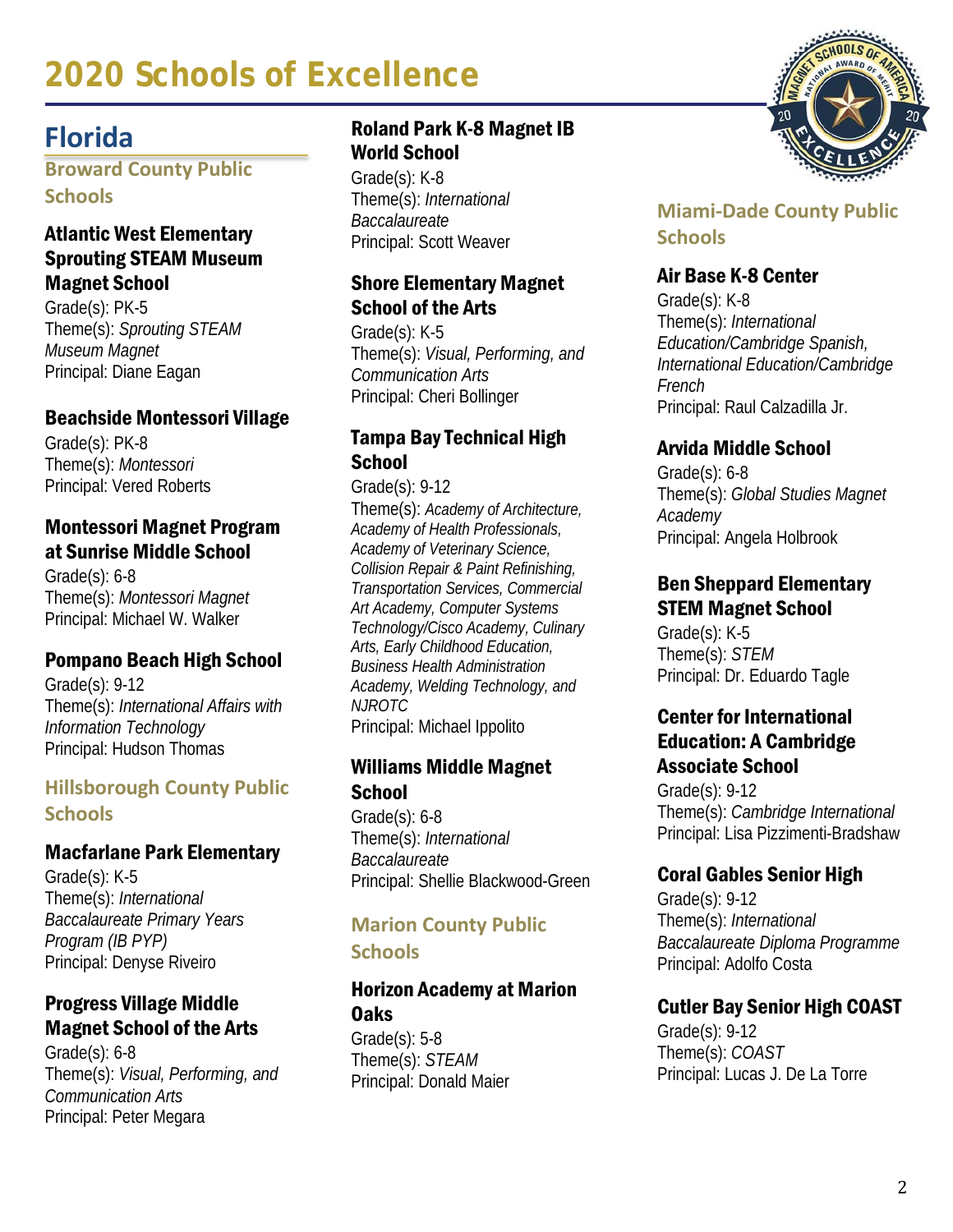# **Florida**

**Broward County Public Schools**

#### Atlantic West Elementary Sprouting STEAM Museum Magnet School

Grade(s): PK-5 Theme(s): *Sprouting STEAM Museum Magnet* Principal: Diane Eagan

#### Beachside Montessori Village

Grade(s): PK-8 Theme(s): *Montessori* Principal: Vered Roberts

#### Montessori Magnet Program at Sunrise Middle School

Grade(s): 6-8 Theme(s): *Montessori Magnet* Principal: Michael W. Walker

# Pompano Beach High School

Grade(s): 9-12 Theme(s): *International Affairs with Information Technology* Principal: Hudson Thomas

# **Hillsborough County Public Schools**

#### Macfarlane Park Elementary

Grade(s): K-5 Theme(s): *International Baccalaureate Primary Years Program (IB PYP)* Principal: Denyse Riveiro

# Progress Village Middle Magnet School of the Arts

Grade(s): 6-8 Theme(s): *Visual, Performing, and Communication Arts* Principal: Peter Megara

#### Roland Park K-8 Magnet IB World School

Grade(s): K-8 Theme(s): *International Baccalaureate* Principal: Scott Weaver

### Shore Elementary Magnet School of the Arts

Grade(s): K-5 Theme(s): *Visual, Performing, and Communication Arts* Principal: Cheri Bollinger

### Tampa Bay Technical High **School**

Grade(s): 9-12 Theme(s): *Academy of Architecture, Academy of Health Professionals, Academy of Veterinary Science, Collision Repair & Paint Refinishing, Transportation Services, Commercial Art Academy, Computer Systems Technology/Cisco Academy, Culinary Arts, Early Childhood Education, Business Health Administration Academy, Welding Technology, and NJROTC* Principal: Michael Ippolito

#### Williams Middle Magnet **School**

Grade(s): 6-8 Theme(s): *International Baccalaureate* Principal: Shellie Blackwood-Green

#### **Marion County Public Schools**

#### Horizon Academy at Marion Oaks

Grade(s): 5-8 Theme(s): *STEAM* Principal: Donald Maier



# **Miami-Dade County Public Schools**

# Air Base K-8 Center

Grade(s): K-8 Theme(s): *International Education/Cambridge Spanish, International Education/Cambridge French* Principal: Raul Calzadilla Jr.

# Arvida Middle School

Grade(s): 6-8 Theme(s): *Global Studies Magnet Academy* Principal: Angela Holbrook

#### Ben Sheppard Elementary STEM Magnet School

Grade(s): K-5 Theme(s): *STEM* Principal: Dr. Eduardo Tagle

#### Center for International Education: A Cambridge Associate School

Grade(s): 9-12 Theme(s): *Cambridge International* Principal: Lisa Pizzimenti-Bradshaw

# Coral Gables Senior High

Grade(s): 9-12 Theme(s): *International Baccalaureate Diploma Programme* Principal: Adolfo Costa

# Cutler Bay Senior High COAST

Grade(s): 9-12 Theme(s): *COAST* Principal: Lucas J. De La Torre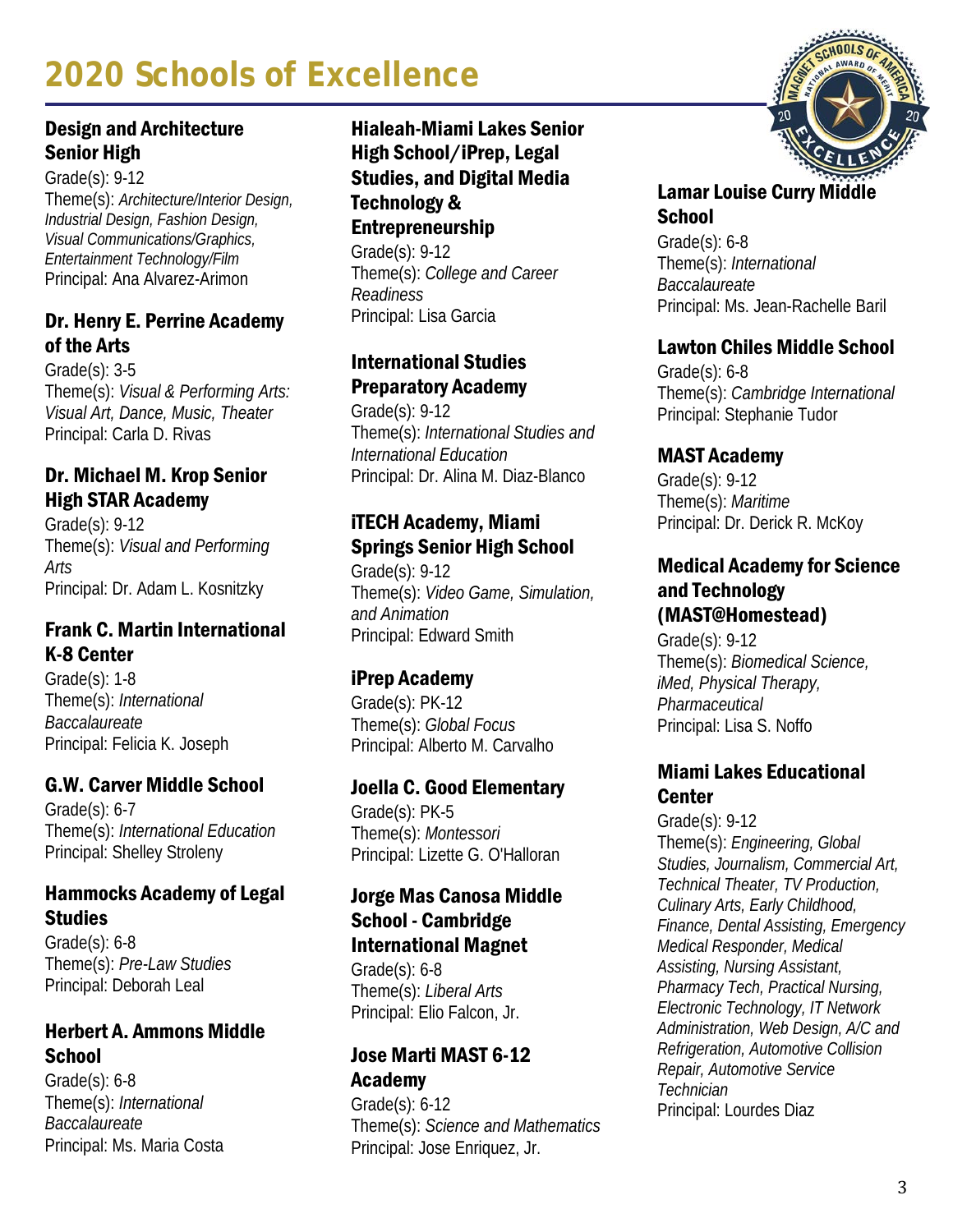# Design and Architecture Senior High

Grade(s): 9-12 Theme(s): *Architecture/Interior Design, Industrial Design, Fashion Design, Visual Communications/Graphics, Entertainment Technology/Film* Principal: Ana Alvarez-Arimon

# Dr. Henry E. Perrine Academy of the Arts

Grade(s): 3-5 Theme(s): *Visual & Performing Arts: Visual Art, Dance, Music, Theater* Principal: Carla D. Rivas

# Dr. Michael M. Krop Senior High STAR Academy

Grade(s): 9-12 Theme(s): *Visual and Performing Arts* Principal: Dr. Adam L. Kosnitzky

# Frank C. Martin International K-8 Center

Grade(s): 1-8 Theme(s): *International Baccalaureate* Principal: Felicia K. Joseph

# G.W. Carver Middle School

Grade(s): 6-7 Theme(s): *International Education* Principal: Shelley Stroleny

#### Hammocks Academy of Legal **Studies**

Grade(s): 6-8 Theme(s): *Pre-Law Studies* Principal: Deborah Leal

# Herbert A. Ammons Middle **School**

Grade(s): 6-8 Theme(s): *International Baccalaureate* Principal: Ms. Maria Costa

# Hialeah-Miami Lakes Senior High School/iPrep, Legal Studies, and Digital Media Technology & Entrepreneurship

Grade(s): 9-12 Theme(s): *College and Career Readiness* Principal: Lisa Garcia

# International Studies Preparatory Academy

Grade(s): 9-12 Theme(s): *International Studies and International Education* Principal: Dr. Alina M. Diaz-Blanco

# iTECH Academy, Miami Springs Senior High School

Grade(s): 9-12 Theme(s): *Video Game, Simulation, and Animation* Principal: Edward Smith

# iPrep Academy

Grade(s): PK-12 Theme(s): *Global Focus* Principal: Alberto M. Carvalho

#### Joella C. Good Elementary

Grade(s): PK-5 Theme(s): *Montessori* Principal: Lizette G. O'Halloran

# Jorge Mas Canosa Middle School - Cambridge International Magnet

Grade(s): 6-8 Theme(s): *Liberal Arts* Principal: Elio Falcon, Jr.

#### Jose Marti MAST 6-12 Academy

Grade(s): 6-12 Theme(s): *Science and Mathematics* Principal: Jose Enriquez, Jr.



# Lamar Louise Curry Middle **School**

Grade(s): 6-8 Theme(s): *International Baccalaureate* Principal: Ms. Jean-Rachelle Baril

# Lawton Chiles Middle School

Grade(s): 6-8 Theme(s): *Cambridge International* Principal: Stephanie Tudor

#### MAST Academy

Grade(s): 9-12 Theme(s): *Maritime* Principal: Dr. Derick R. McKoy

#### Medical Academy for Science and Technology (MAST@Homestead)

Grade(s): 9-12 Theme(s): *Biomedical Science, iMed, Physical Therapy, Pharmaceutical* Principal: Lisa S. Noffo

#### Miami Lakes Educational **Center**

Grade(s): 9-12 Theme(s): *Engineering, Global Studies, Journalism, Commercial Art, Technical Theater, TV Production, Culinary Arts, Early Childhood, Finance, Dental Assisting, Emergency Medical Responder, Medical Assisting, Nursing Assistant, Pharmacy Tech, Practical Nursing, Electronic Technology, IT Network Administration, Web Design, A/C and Refrigeration, Automotive Collision Repair, Automotive Service Technician* Principal: Lourdes Diaz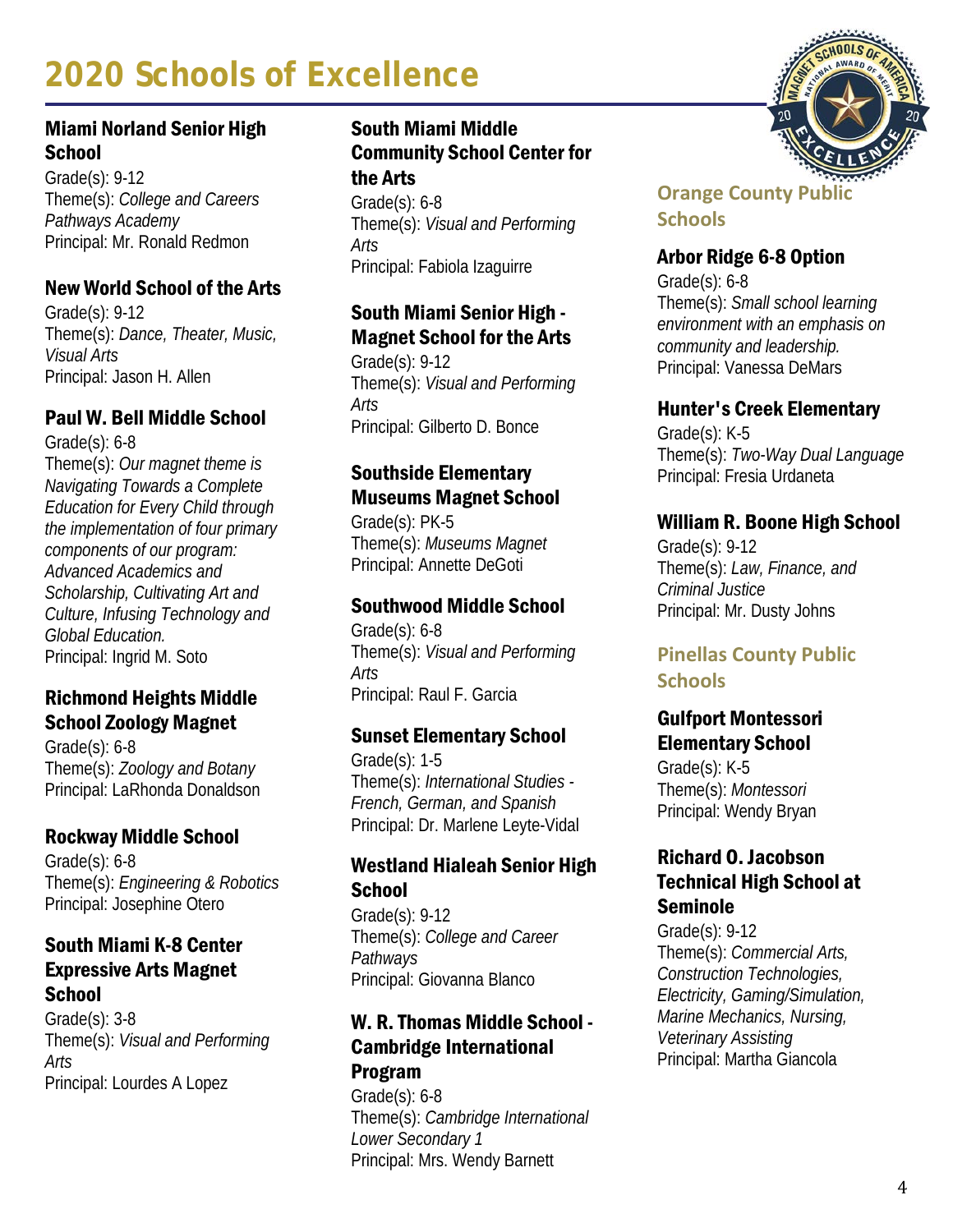### Miami Norland Senior High **School**

Grade(s): 9-12 Theme(s): *College and Careers Pathways Academy* Principal: Mr. Ronald Redmon

# New World School of the Arts

Grade(s): 9-12 Theme(s): *Dance, Theater, Music, Visual Arts* Principal: Jason H. Allen

# Paul W. Bell Middle School

Grade(s): 6-8 Theme(s): *Our magnet theme is Navigating Towards a Complete Education for Every Child through the implementation of four primary components of our program: Advanced Academics and Scholarship, Cultivating Art and Culture, Infusing Technology and Global Education.* Principal: Ingrid M. Soto

#### Richmond Heights Middle School Zoology Magnet

Grade(s): 6-8 Theme(s): *Zoology and Botany* Principal: LaRhonda Donaldson

#### Rockway Middle School

Grade(s): 6-8 Theme(s): *Engineering & Robotics* Principal: Josephine Otero

#### South Miami K-8 Center Expressive Arts Magnet **School**

Grade(s): 3-8 Theme(s): *Visual and Performing Arts* Principal: Lourdes A Lopez

#### South Miami Middle Community School Center for the Arts

Grade(s): 6-8 Theme(s): *Visual and Performing Arts* Principal: Fabiola Izaguirre

# South Miami Senior High - Magnet School for the Arts

Grade(s): 9-12 Theme(s): *Visual and Performing Arts* Principal: Gilberto D. Bonce

# Southside Elementary Museums Magnet School

Grade(s): PK-5 Theme(s): *Museums Magnet* Principal: Annette DeGoti

#### Southwood Middle School

Grade(s): 6-8 Theme(s): *Visual and Performing Arts* Principal: Raul F. Garcia

#### Sunset Elementary School

Grade(s): 1-5 Theme(s): *International Studies - French, German, and Spanish* Principal: Dr. Marlene Leyte-Vidal

#### Westland Hialeah Senior High **School**

Grade(s): 9-12 Theme(s): *College and Career Pathways* Principal: Giovanna Blanco

#### W. R. Thomas Middle School - Cambridge International Program

Grade(s): 6-8 Theme(s): *Cambridge International Lower Secondary 1* Principal: Mrs. Wendy Barnett



# **Orange County Public Schools**

### Arbor Ridge 6-8 Option

Grade(s): 6-8 Theme(s): *Small school learning environment with an emphasis on community and leadership.* Principal: Vanessa DeMars

#### Hunter's Creek Elementary

Grade(s): K-5 Theme(s): *Two-Way Dual Language* Principal: Fresia Urdaneta

#### William R. Boone High School

Grade(s): 9-12 Theme(s): *Law, Finance, and Criminal Justice* Principal: Mr. Dusty Johns

# **Pinellas County Public Schools**

#### Gulfport Montessori Elementary School

Grade(s): K-5 Theme(s): *Montessori* Principal: Wendy Bryan

#### Richard O. Jacobson Technical High School at Seminole

Grade(s): 9-12 Theme(s): *Commercial Arts, Construction Technologies, Electricity, Gaming/Simulation, Marine Mechanics, Nursing, Veterinary Assisting* Principal: Martha Giancola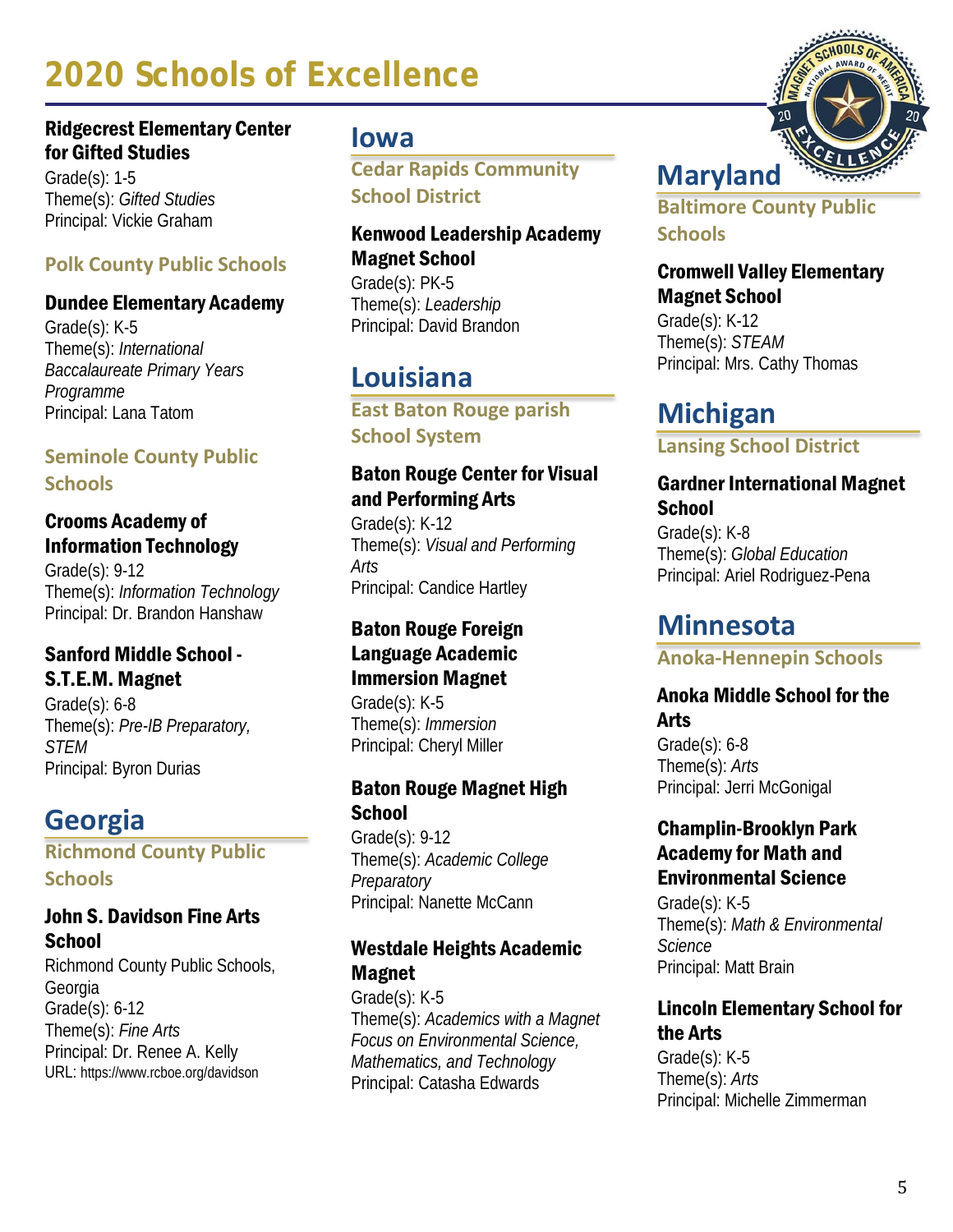#### Ridgecrest Elementary Center for Gifted Studies

Grade(s): 1-5 Theme(s): *Gifted Studies* Principal: Vickie Graham

# **Polk County Public Schools**

#### Dundee Elementary Academy

Grade(s): K-5 Theme(s): *International Baccalaureate Primary Years Programme* Principal: Lana Tatom

### **Seminole County Public Schools**

#### Crooms Academy of Information Technology

Grade(s): 9-12 Theme(s): *Information Technology* Principal: Dr. Brandon Hanshaw

# Sanford Middle School - S.T.E.M. Magnet

Grade(s): 6-8 Theme(s): *Pre-IB Preparatory, STEM* Principal: Byron Durias

# **Georgia**

**Richmond County Public Schools**

#### John S. Davidson Fine Arts **School**

Richmond County Public Schools, Georgia Grade(s): 6-12 Theme(s): *Fine Arts* Principal: Dr. Renee A. Kelly URL: https://www.rcboe.org/davidson

# **Iowa**

**Cedar Rapids Community School District**

# Kenwood Leadership Academy Magnet School

Grade(s): PK-5 Theme(s): *Leadership* Principal: David Brandon

# **Louisiana**

**East Baton Rouge parish School System**

# Baton Rouge Center for Visual and Performing Arts

Grade(s): K-12 Theme(s): *Visual and Performing Arts* Principal: Candice Hartley

#### Baton Rouge Foreign Language Academic Immersion Magnet

Grade(s): K-5 Theme(s): *Immersion* Principal: Cheryl Miller

#### Baton Rouge Magnet High **School**

Grade(s): 9-12 Theme(s): *Academic College Preparatory* Principal: Nanette McCann

# Westdale Heights Academic Magnet

Grade(s): K-5 Theme(s): *Academics with a Magnet Focus on Environmental Science, Mathematics, and Technology* Principal: Catasha Edwards



**Baltimore County Public Schools**

#### Cromwell Valley Elementary Magnet School

Grade(s): K-12 Theme(s): *STEAM*  Principal: Mrs. Cathy Thomas

# **Michigan**

**Lansing School District**

#### Gardner International Magnet **School**

Grade(s): K-8 Theme(s): *Global Education* Principal: Ariel Rodriguez-Pena

# **Minnesota**

**Anoka-Hennepin Schools**

#### Anoka Middle School for the Arts

Grade(s): 6-8 Theme(s): *Arts* Principal: Jerri McGonigal

#### Champlin-Brooklyn Park Academy for Math and Environmental Science

Grade(s): K-5 Theme(s): *Math & Environmental Science* Principal: Matt Brain

# Lincoln Elementary School for the Arts

Grade(s): K-5 Theme(s): *Arts* Principal: Michelle Zimmerman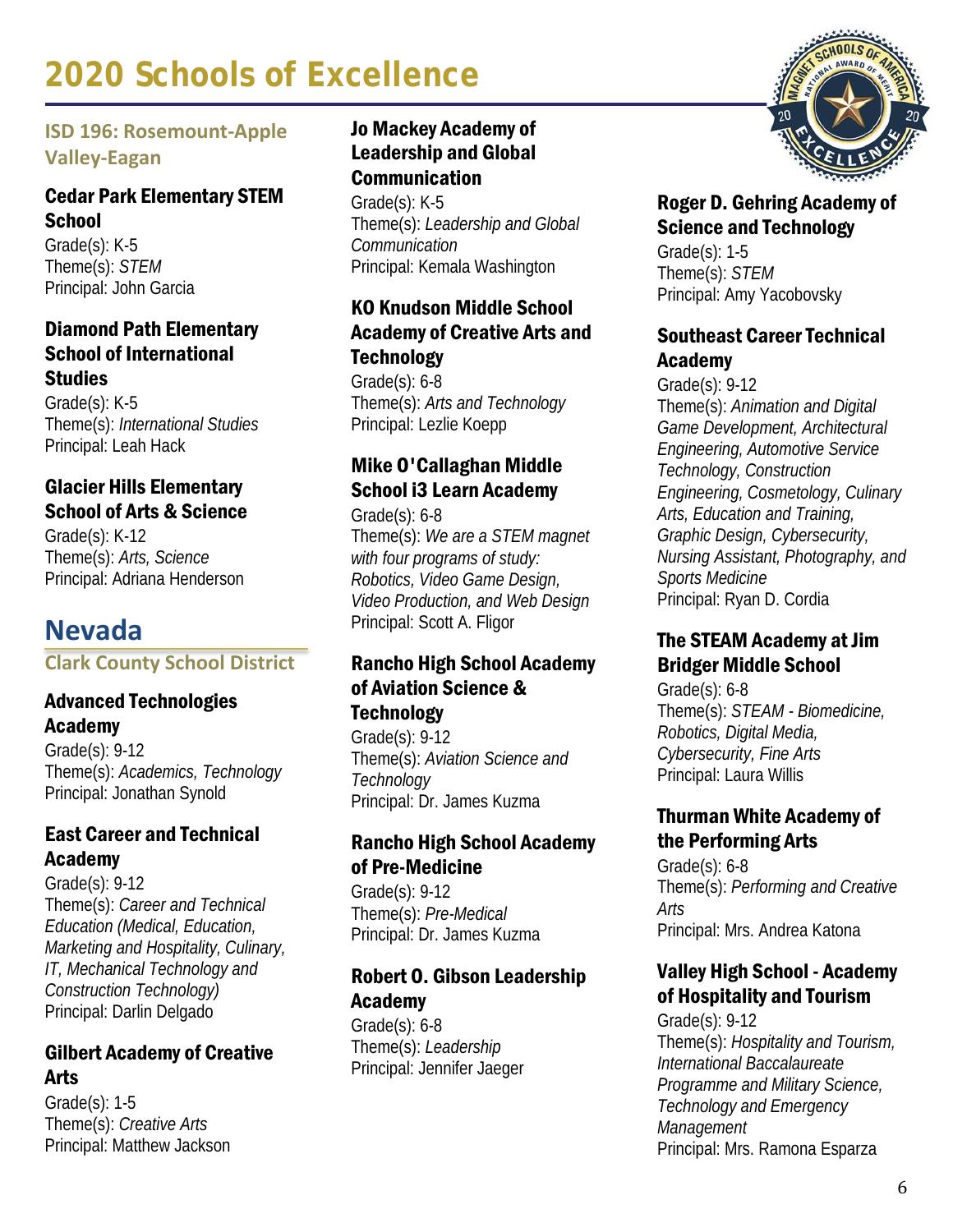# **ISD 196: Rosemount-Apple Valley-Eagan**

#### Cedar Park Elementary STEM **School**

Grade(s): K-5 Theme(s): *STEM* Principal: John Garcia

#### Diamond Path Elementary School of International **Studies**

Grade(s): K-5 Theme(s): *International Studies* Principal: Leah Hack

#### Glacier Hills Elementary School of Arts & Science

Grade(s): K-12 Theme(s): *Arts, Science* Principal: Adriana Henderson

# **Nevada**

**Clark County School District**

#### Advanced Technologies Academy

Grade(s): 9-12 Theme(s): *Academics, Technology* Principal: Jonathan Synold

# East Career and Technical Academy

Grade(s): 9-12 Theme(s): *Career and Technical Education (Medical, Education, Marketing and Hospitality, Culinary, IT, Mechanical Technology and Construction Technology)* Principal: Darlin Delgado

# Gilbert Academy of Creative Arts

Grade(s): 1-5 Theme(s): *Creative Arts* Principal: Matthew Jackson

# Jo Mackey Academy of Leadership and Global Communication

Grade(s): K-5 Theme(s): *Leadership and Global Communication* Principal: Kemala Washington

# KO Knudson Middle School Academy of Creative Arts and **Technology**

Grade(s): 6-8 Theme(s): *Arts and Technology* Principal: Lezlie Koepp

# Mike O'Callaghan Middle School i3 Learn Academy

Grade(s): 6-8 Theme(s): *We are a STEM magnet with four programs of study: Robotics, Video Game Design, Video Production, and Web Design* Principal: Scott A. Fligor

#### Rancho High School Academy of Aviation Science & **Technology**

Grade(s): 9-12 Theme(s): *Aviation Science and Technology* Principal: Dr. James Kuzma

# Rancho High School Academy of Pre-Medicine

Grade(s): 9-12 Theme(s): *Pre-Medical* Principal: Dr. James Kuzma

# Robert O. Gibson Leadership Academy

Grade(s): 6-8 Theme(s): *Leadership* Principal: Jennifer Jaeger



#### Roger D. Gehring Academy of Science and Technology

Grade(s): 1-5 Theme(s): *STEM* Principal: Amy Yacobovsky

# Southeast Career Technical Academy

Grade(s): 9-12 Theme(s): *Animation and Digital Game Development, Architectural Engineering, Automotive Service Technology, Construction Engineering, Cosmetology, Culinary Arts, Education and Training, Graphic Design, Cybersecurity, Nursing Assistant, Photography, and Sports Medicine* Principal: Ryan D. Cordia

# The STEAM Academy at Jim Bridger Middle School

Grade(s): 6-8 Theme(s): *STEAM - Biomedicine, Robotics, Digital Media, Cybersecurity, Fine Arts* Principal: Laura Willis

# Thurman White Academy of the Performing Arts

Grade(s): 6-8 Theme(s): *Performing and Creative Arts* Principal: Mrs. Andrea Katona

# Valley High School - Academy of Hospitality and Tourism

Grade(s): 9-12 Theme(s): *Hospitality and Tourism, International Baccalaureate Programme and Military Science, Technology and Emergency Management* Principal: Mrs. Ramona Esparza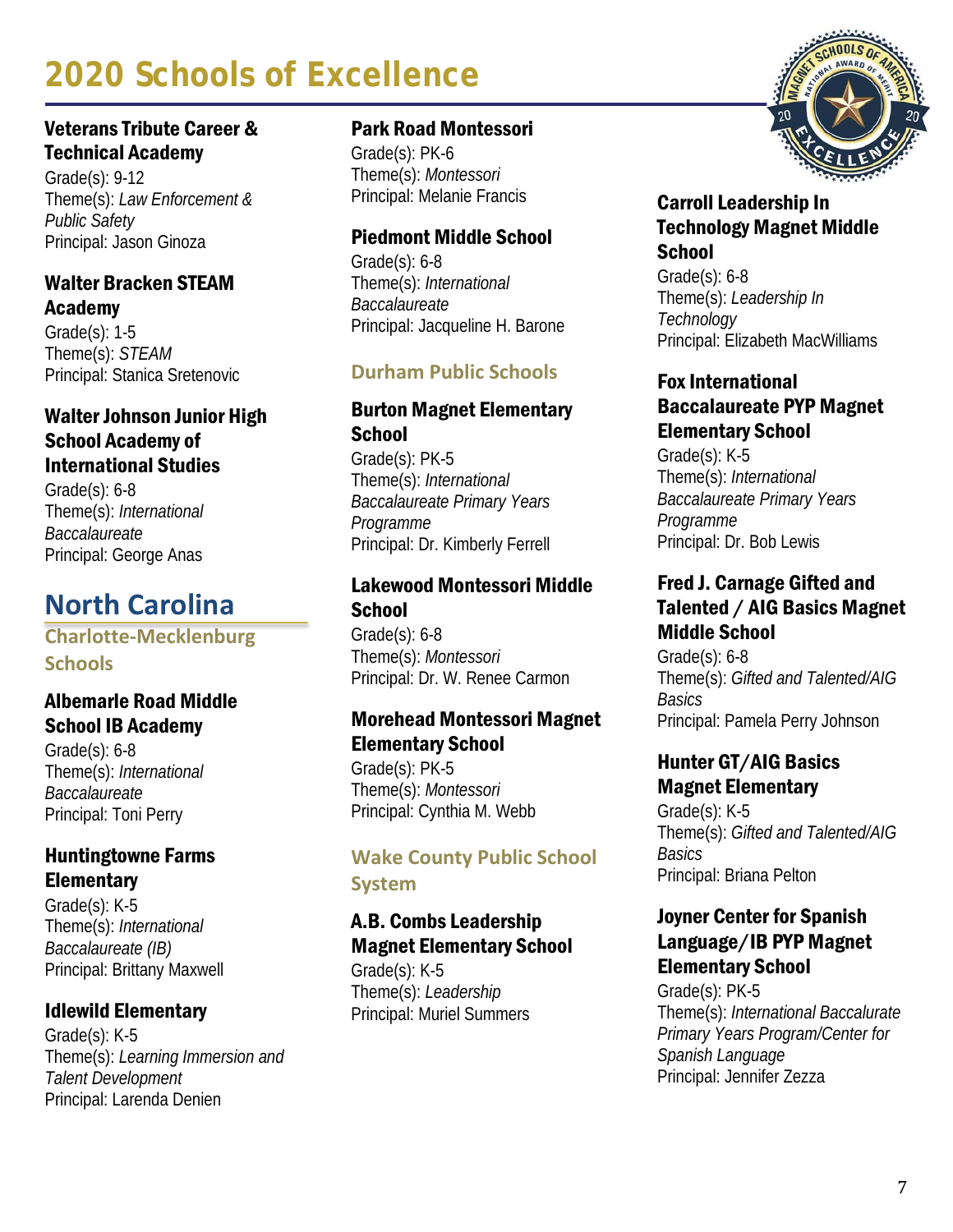#### Veterans Tribute Career & Technical Academy

Grade(s): 9-12 Theme(s): *Law Enforcement & Public Safety* Principal: Jason Ginoza

#### Walter Bracken STEAM Academy

Grade(s): 1-5 Theme(s): *STEAM* Principal: Stanica Sretenovic

#### Walter Johnson Junior High School Academy of International Studies

Grade(s): 6-8 Theme(s): *International Baccalaureate* Principal: George Anas

# **North Carolina**

#### **Charlotte-Mecklenburg Schools**

#### Albemarle Road Middle School IB Academy

Grade(s): 6-8 Theme(s): *International Baccalaureate* Principal: Toni Perry

# Huntingtowne Farms **Elementary**

Grade(s): K-5 Theme(s): *International Baccalaureate (IB)* Principal: Brittany Maxwell

# Idlewild Elementary

Grade(s): K-5 Theme(s): *Learning Immersion and Talent Development* Principal: Larenda Denien

#### Park Road Montessori

Grade(s): PK-6 Theme(s): *Montessori* Principal: Melanie Francis

# Piedmont Middle School

Grade(s): 6-8 Theme(s): *International Baccalaureate* Principal: Jacqueline H. Barone

# **Durham Public Schools**

### Burton Magnet Elementary **School**

Grade(s): PK-5 Theme(s): *International Baccalaureate Primary Years Programme* Principal: Dr. Kimberly Ferrell

#### Lakewood Montessori Middle **School**

Grade(s): 6-8 Theme(s): *Montessori* Principal: Dr. W. Renee Carmon

# Morehead Montessori Magnet Elementary School

Grade(s): PK-5 Theme(s): *Montessori* Principal: Cynthia M. Webb

# **Wake County Public School System**

# A.B. Combs Leadership Magnet Elementary School

Grade(s): K-5 Theme(s): *Leadership* Principal: Muriel Summers



#### Carroll Leadership In Technology Magnet Middle **School**

Grade(s): 6-8 Theme(s): *Leadership In Technology* Principal: Elizabeth MacWilliams

# Fox International Baccalaureate PYP Magnet Elementary School

Grade(s): K-5 Theme(s): *International Baccalaureate Primary Years Programme* Principal: Dr. Bob Lewis

#### Fred J. Carnage Gifted and Talented / AIG Basics Magnet Middle School

Grade(s): 6-8 Theme(s): *Gifted and Talented/AIG Basics* Principal: Pamela Perry Johnson

#### Hunter GT/AIG Basics Magnet Elementary

Grade(s): K-5 Theme(s): *Gifted and Talented/AIG Basics* Principal: Briana Pelton

#### Joyner Center for Spanish Language/IB PYP Magnet Elementary School

Grade(s): PK-5 Theme(s): *International Baccalurate Primary Years Program/Center for Spanish Language* Principal: Jennifer Zezza